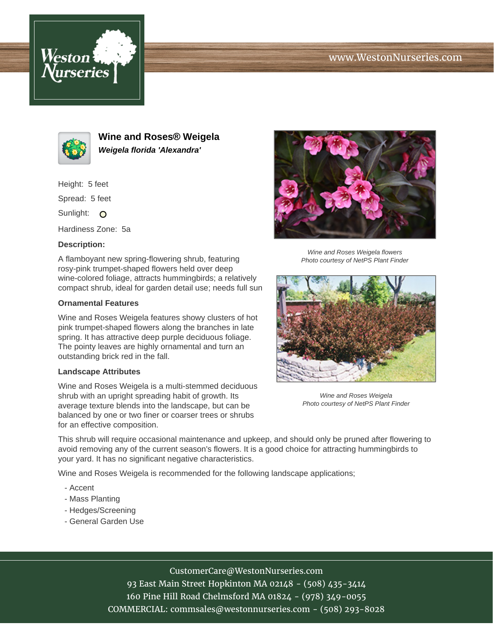





**Wine and Roses® Weigela Weigela florida 'Alexandra'**

Height: 5 feet

Spread: 5 feet

Sunlight: O

Hardiness Zone: 5a

### **Description:**

A flamboyant new spring-flowering shrub, featuring rosy-pink trumpet-shaped flowers held over deep wine-colored foliage, attracts hummingbirds; a relatively compact shrub, ideal for garden detail use; needs full sun

#### **Ornamental Features**

Wine and Roses Weigela features showy clusters of hot pink trumpet-shaped flowers along the branches in late spring. It has attractive deep purple deciduous foliage. The pointy leaves are highly ornamental and turn an outstanding brick red in the fall.

#### **Landscape Attributes**

Wine and Roses Weigela is a multi-stemmed deciduous shrub with an upright spreading habit of growth. Its average texture blends into the landscape, but can be balanced by one or two finer or coarser trees or shrubs for an effective composition.



Wine and Roses Weigela flowers Photo courtesy of NetPS Plant Finder



Wine and Roses Weigela Photo courtesy of NetPS Plant Finder

This shrub will require occasional maintenance and upkeep, and should only be pruned after flowering to avoid removing any of the current season's flowers. It is a good choice for attracting hummingbirds to your yard. It has no significant negative characteristics.

Wine and Roses Weigela is recommended for the following landscape applications;

- Accent
- Mass Planting
- Hedges/Screening
- General Garden Use

## CustomerCare@WestonNurseries.com

93 East Main Street Hopkinton MA 02148 - (508) 435-3414 160 Pine Hill Road Chelmsford MA 01824 - (978) 349-0055 COMMERCIAL: commsales@westonnurseries.com - (508) 293-8028